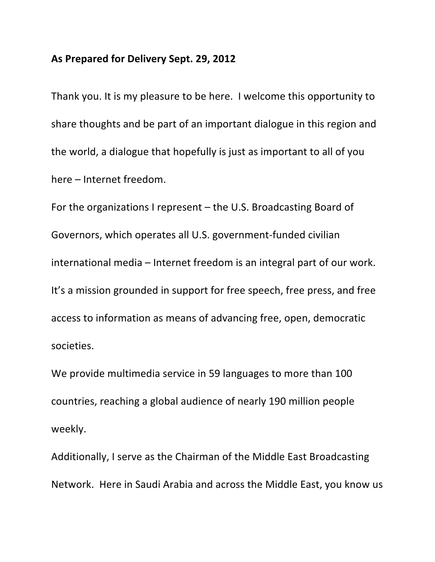## As Prepared for Delivery Sept. 29, 2012

Thank you. It is my pleasure to be here. I welcome this opportunity to share thoughts and be part of an important dialogue in this region and the world, a dialogue that hopefully is just as important to all of you here – Internet freedom.

For the organizations I represent  $-$  the U.S. Broadcasting Board of Governors, which operates all U.S. government-funded civilian international media – Internet freedom is an integral part of our work. It's a mission grounded in support for free speech, free press, and free access to information as means of advancing free, open, democratic societies. 

We provide multimedia service in 59 languages to more than 100 countries, reaching a global audience of nearly 190 million people weekly.

Additionally, I serve as the Chairman of the Middle East Broadcasting Network. Here in Saudi Arabia and across the Middle East, you know us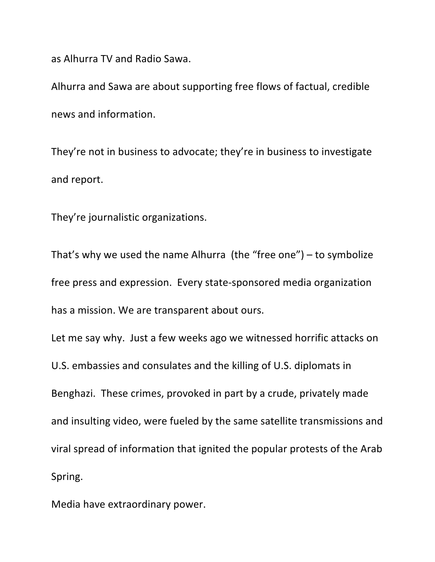as Alhurra TV and Radio Sawa.

Alhurra and Sawa are about supporting free flows of factual, credible news and information. 

They're not in business to advocate; they're in business to investigate and report.

They're journalistic organizations.

That's why we used the name Alhurra (the "free one") – to symbolize free press and expression. Every state-sponsored media organization has a mission. We are transparent about ours.

Let me say why. Just a few weeks ago we witnessed horrific attacks on U.S. embassies and consulates and the killing of U.S. diplomats in Benghazi. These crimes, provoked in part by a crude, privately made and insulting video, were fueled by the same satellite transmissions and viral spread of information that ignited the popular protests of the Arab Spring.

Media have extraordinary power.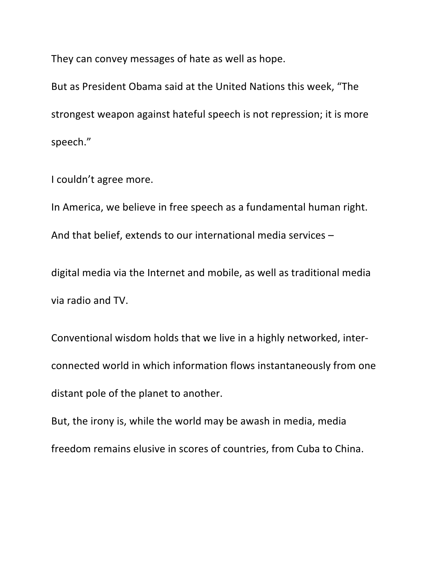They can convey messages of hate as well as hope.

But as President Obama said at the United Nations this week, "The strongest weapon against hateful speech is not repression; it is more speech."

I couldn't agree more.

In America, we believe in free speech as a fundamental human right. And that belief, extends to our international media services  $-$ 

digital media via the Internet and mobile, as well as traditional media via radio and TV.

Conventional wisdom holds that we live in a highly networked, interconnected world in which information flows instantaneously from one distant pole of the planet to another.

But, the irony is, while the world may be awash in media, media freedom remains elusive in scores of countries, from Cuba to China.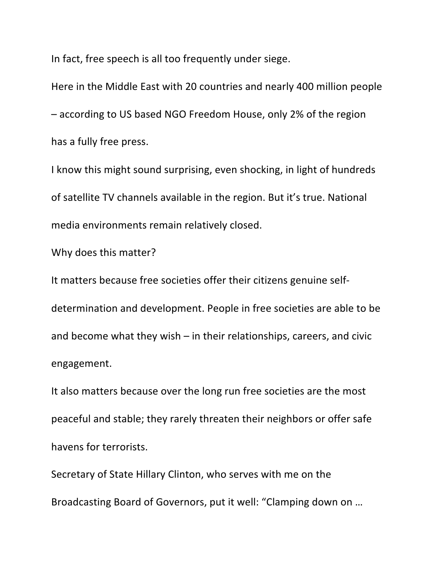In fact, free speech is all too frequently under siege.

Here in the Middle East with 20 countries and nearly 400 million people  $-$  according to US based NGO Freedom House, only 2% of the region has a fully free press.

I know this might sound surprising, even shocking, in light of hundreds of satellite TV channels available in the region. But it's true. National media environments remain relatively closed.

Why does this matter?

It matters because free societies offer their citizens genuine selfdetermination and development. People in free societies are able to be and become what they wish  $-$  in their relationships, careers, and civic engagement.

It also matters because over the long run free societies are the most peaceful and stable; they rarely threaten their neighbors or offer safe havens for terrorists.

Secretary of State Hillary Clinton, who serves with me on the Broadcasting Board of Governors, put it well: "Clamping down on ...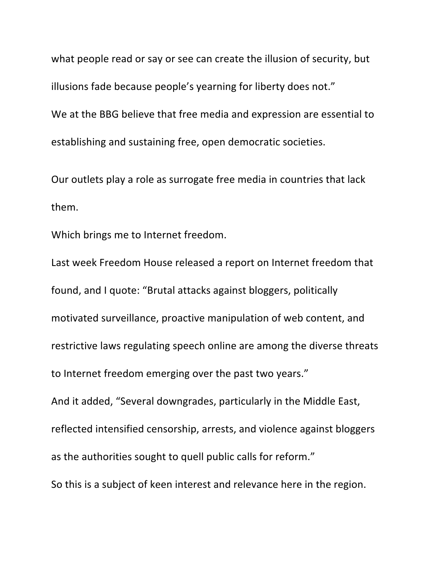what people read or say or see can create the illusion of security, but illusions fade because people's yearning for liberty does not." We at the BBG believe that free media and expression are essential to establishing and sustaining free, open democratic societies.

Our outlets play a role as surrogate free media in countries that lack them.

Which brings me to Internet freedom.

Last week Freedom House released a report on Internet freedom that found, and I quote: "Brutal attacks against bloggers, politically motivated surveillance, proactive manipulation of web content, and restrictive laws regulating speech online are among the diverse threats to Internet freedom emerging over the past two years." And it added, "Several downgrades, particularly in the Middle East, reflected intensified censorship, arrests, and violence against bloggers as the authorities sought to quell public calls for reform." So this is a subject of keen interest and relevance here in the region.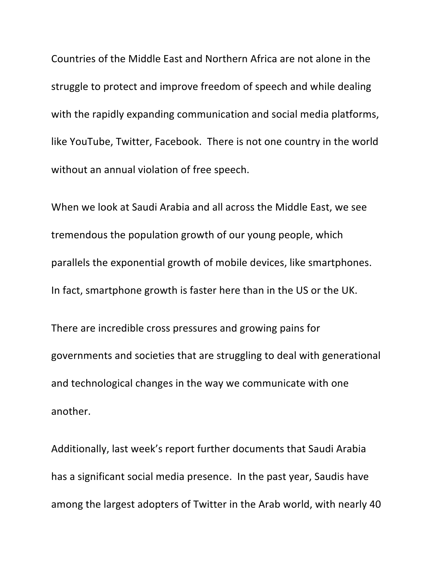Countries of the Middle East and Northern Africa are not alone in the struggle to protect and improve freedom of speech and while dealing with the rapidly expanding communication and social media platforms, like YouTube, Twitter, Facebook. There is not one country in the world without an annual violation of free speech.

When we look at Saudi Arabia and all across the Middle East, we see tremendous the population growth of our young people, which parallels the exponential growth of mobile devices, like smartphones. In fact, smartphone growth is faster here than in the US or the UK.

There are incredible cross pressures and growing pains for governments and societies that are struggling to deal with generational and technological changes in the way we communicate with one another. 

Additionally, last week's report further documents that Saudi Arabia has a significant social media presence. In the past year, Saudis have among the largest adopters of Twitter in the Arab world, with nearly 40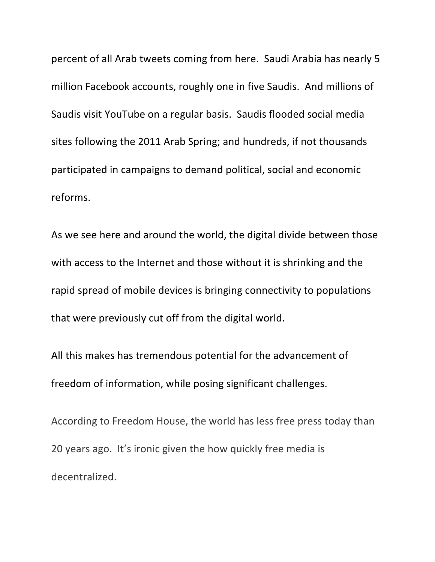percent of all Arab tweets coming from here. Saudi Arabia has nearly 5 million Facebook accounts, roughly one in five Saudis. And millions of Saudis visit YouTube on a regular basis. Saudis flooded social media sites following the 2011 Arab Spring; and hundreds, if not thousands participated in campaigns to demand political, social and economic reforms. 

As we see here and around the world, the digital divide between those with access to the Internet and those without it is shrinking and the rapid spread of mobile devices is bringing connectivity to populations that were previously cut off from the digital world.

All this makes has tremendous potential for the advancement of freedom of information, while posing significant challenges.

According to Freedom House, the world has less free press today than 20 years ago. It's ironic given the how quickly free media is decentralized.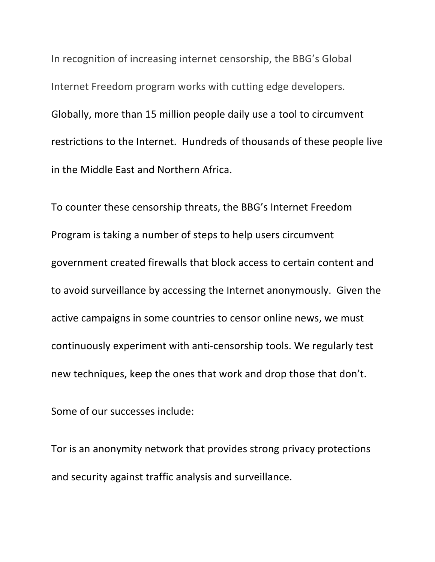In recognition of increasing internet censorship, the BBG's Global Internet Freedom program works with cutting edge developers. Globally, more than 15 million people daily use a tool to circumvent restrictions to the Internet. Hundreds of thousands of these people live in the Middle East and Northern Africa.

To counter these censorship threats, the BBG's Internet Freedom Program is taking a number of steps to help users circumvent government created firewalls that block access to certain content and to avoid surveillance by accessing the Internet anonymously. Given the active campaigns in some countries to censor online news, we must continuously experiment with anti-censorship tools. We regularly test new techniques, keep the ones that work and drop those that don't.

Some of our successes include:

Tor is an anonymity network that provides strong privacy protections and security against traffic analysis and surveillance.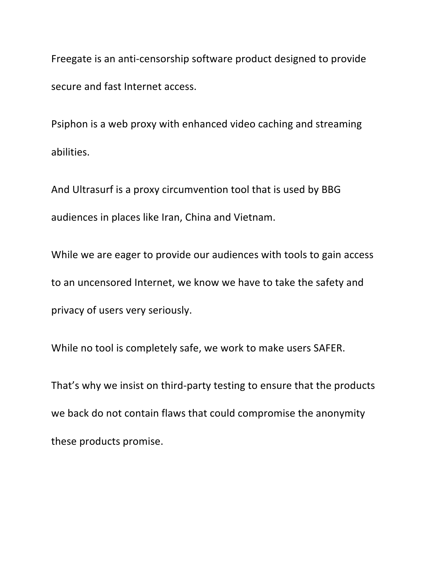Freegate is an anti-censorship software product designed to provide secure and fast Internet access.

Psiphon is a web proxy with enhanced video caching and streaming abilities. 

And Ultrasurf is a proxy circumvention tool that is used by BBG audiences in places like Iran, China and Vietnam.

While we are eager to provide our audiences with tools to gain access to an uncensored Internet, we know we have to take the safety and privacy of users very seriously.

While no tool is completely safe, we work to make users SAFER.

That's why we insist on third-party testing to ensure that the products we back do not contain flaws that could compromise the anonymity these products promise.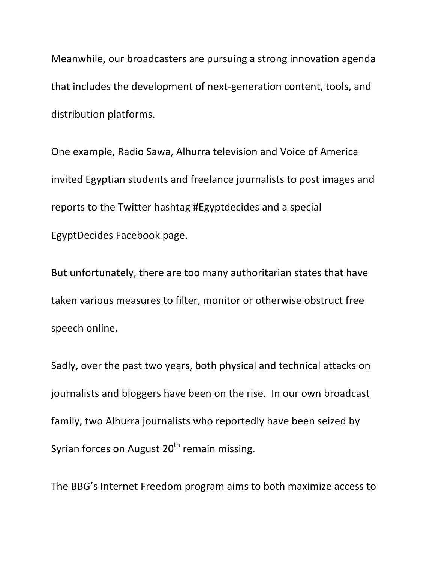Meanwhile, our broadcasters are pursuing a strong innovation agenda that includes the development of next-generation content, tools, and distribution platforms.

One example, Radio Sawa, Alhurra television and Voice of America invited Egyptian students and freelance journalists to post images and reports to the Twitter hashtag #Egyptdecides and a special EgyptDecides Facebook page.

But unfortunately, there are too many authoritarian states that have taken various measures to filter, monitor or otherwise obstruct free speech online.

Sadly, over the past two years, both physical and technical attacks on journalists and bloggers have been on the rise. In our own broadcast family, two Alhurra journalists who reportedly have been seized by Syrian forces on August  $20<sup>th</sup>$  remain missing.

The BBG's Internet Freedom program aims to both maximize access to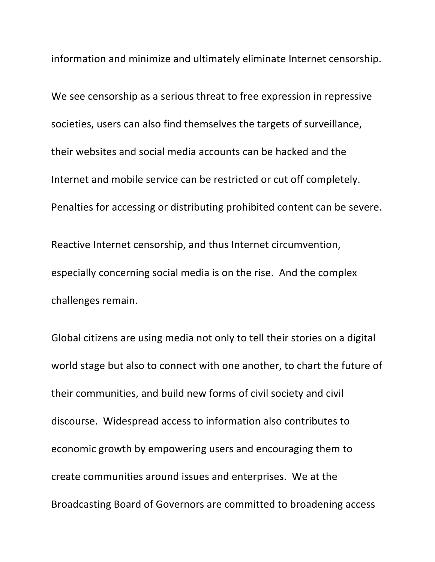information and minimize and ultimately eliminate Internet censorship.

We see censorship as a serious threat to free expression in repressive societies, users can also find themselves the targets of surveillance, their websites and social media accounts can be hacked and the Internet and mobile service can be restricted or cut off completely. Penalties for accessing or distributing prohibited content can be severe. Reactive Internet censorship, and thus Internet circumvention, especially concerning social media is on the rise. And the complex challenges remain.

Global citizens are using media not only to tell their stories on a digital world stage but also to connect with one another, to chart the future of their communities, and build new forms of civil society and civil discourse. Widespread access to information also contributes to economic growth by empowering users and encouraging them to create communities around issues and enterprises. We at the Broadcasting Board of Governors are committed to broadening access